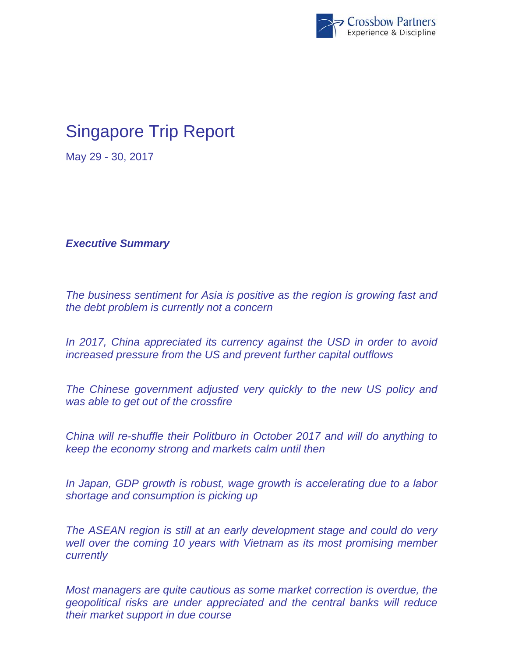

## Singapore Trip Report

May 29 - 30, 2017

*Executive Summary* 

*The business sentiment for Asia is positive as the region is growing fast and the debt problem is currently not a concern* 

*In 2017, China appreciated its currency against the USD in order to avoid increased pressure from the US and prevent further capital outflows* 

*The Chinese government adjusted very quickly to the new US policy and was able to get out of the crossfire* 

*China will re-shuffle their Politburo in October 2017 and will do anything to keep the economy strong and markets calm until then* 

*In Japan, GDP growth is robust, wage growth is accelerating due to a labor shortage and consumption is picking up* 

*The ASEAN region is still at an early development stage and could do very well over the coming 10 years with Vietnam as its most promising member currently* 

*Most managers are quite cautious as some market correction is overdue, the geopolitical risks are under appreciated and the central banks will reduce their market support in due course*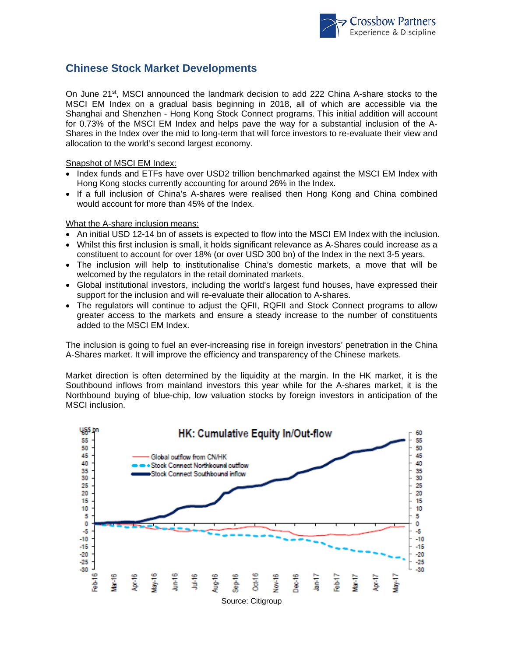

## **Chinese Stock Market Developments**

On June 21<sup>st</sup>, MSCI announced the landmark decision to add 222 China A-share stocks to the MSCI EM Index on a gradual basis beginning in 2018, all of which are accessible via the Shanghai and Shenzhen - Hong Kong Stock Connect programs. This initial addition will account for 0.73% of the MSCI EM Index and helps pave the way for a substantial inclusion of the A-Shares in the Index over the mid to long-term that will force investors to re-evaluate their view and allocation to the world's second largest economy.

Snapshot of MSCI EM Index:

- Index funds and ETFs have over USD2 trillion benchmarked against the MSCI EM Index with Hong Kong stocks currently accounting for around 26% in the Index.
- If a full inclusion of China's A-shares were realised then Hong Kong and China combined would account for more than 45% of the Index.

What the A-share inclusion means:

- An initial USD 12-14 bn of assets is expected to flow into the MSCI EM Index with the inclusion.
- Whilst this first inclusion is small, it holds significant relevance as A-Shares could increase as a constituent to account for over 18% (or over USD 300 bn) of the Index in the next 3-5 years.
- The inclusion will help to institutionalise China's domestic markets, a move that will be welcomed by the regulators in the retail dominated markets.
- Global institutional investors, including the world's largest fund houses, have expressed their support for the inclusion and will re-evaluate their allocation to A-shares.
- The regulators will continue to adjust the QFII, RQFII and Stock Connect programs to allow greater access to the markets and ensure a steady increase to the number of constituents added to the MSCI EM Index.

The inclusion is going to fuel an ever-increasing rise in foreign investors' penetration in the China A-Shares market. It will improve the efficiency and transparency of the Chinese markets.

Market direction is often determined by the liquidity at the margin. In the HK market, it is the Southbound inflows from mainland investors this year while for the A-shares market, it is the Northbound buying of blue-chip, low valuation stocks by foreign investors in anticipation of the MSCI inclusion.